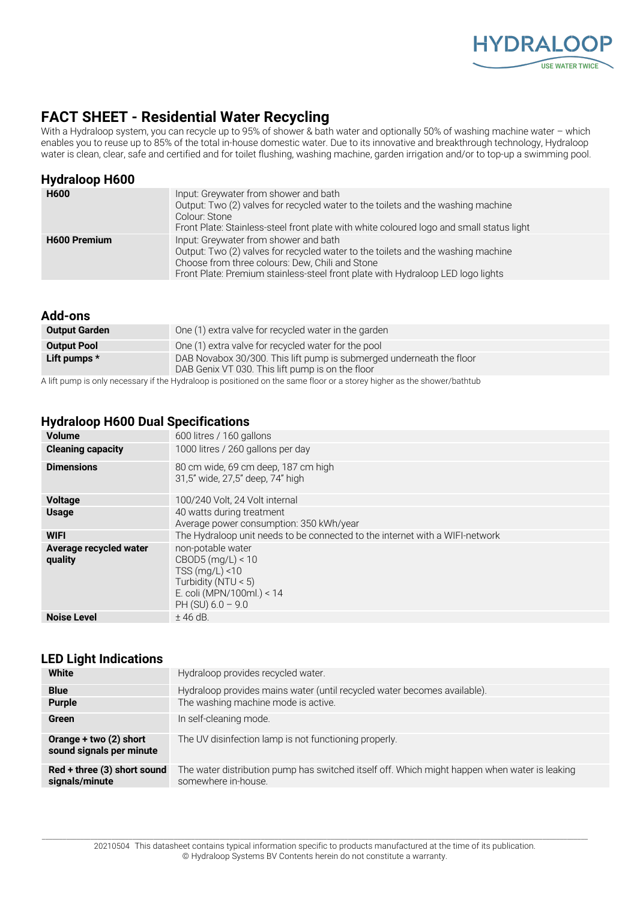

# **FACT SHEET - Residential Water Recycling**

With a Hydraloop system, you can recycle up to 95% of shower & bath water and optionally 50% of washing machine water – which enables you to reuse up to 85% of the total in-house domestic water. Due to its innovative and breakthrough technology, Hydraloop water is clean, clear, safe and certified and for toilet flushing, washing machine, garden irrigation and/or to top-up a swimming pool.

| <b>Hydraloop H600</b> |                                                                                                                                                                                                                                                                 |
|-----------------------|-----------------------------------------------------------------------------------------------------------------------------------------------------------------------------------------------------------------------------------------------------------------|
| <b>H600</b>           | Input: Greywater from shower and bath<br>Output: Two (2) valves for recycled water to the toilets and the washing machine<br>Colour: Stone<br>Front Plate: Stainless-steel front plate with white coloured logo and small status light                          |
| <b>H600 Premium</b>   | Input: Greywater from shower and bath<br>Output: Two (2) valves for recycled water to the toilets and the washing machine<br>Choose from three colours: Dew, Chili and Stone<br>Front Plate: Premium stainless-steel front plate with Hydraloop LED logo lights |

#### **Add-ons**

| <b>Output Garden</b> | One (1) extra valve for recycled water in the garden                                                                     |  |
|----------------------|--------------------------------------------------------------------------------------------------------------------------|--|
| <b>Output Pool</b>   | One (1) extra valve for recycled water for the pool                                                                      |  |
| Lift pumps $*$       | DAB Novabox 30/300. This lift pump is submerged underneath the floor<br>DAB Genix VT 030. This lift pump is on the floor |  |
|                      |                                                                                                                          |  |

A lift pump is only necessary if the Hydraloop is positioned on the same floor or a storey higher as the shower/bathtub

### **Hydraloop H600 Dual Specifications**

| <b>Volume</b>                     | 600 litres / 160 gallons                                                                                                                 |
|-----------------------------------|------------------------------------------------------------------------------------------------------------------------------------------|
| <b>Cleaning capacity</b>          | 1000 litres / 260 gallons per day                                                                                                        |
| <b>Dimensions</b>                 | 80 cm wide, 69 cm deep, 187 cm high<br>31,5" wide, 27,5" deep, 74" high                                                                  |
| <b>Voltage</b>                    | 100/240 Volt, 24 Volt internal                                                                                                           |
| <b>Usage</b>                      | 40 watts during treatment<br>Average power consumption: 350 kWh/year                                                                     |
| <b>WIFI</b>                       | The Hydraloop unit needs to be connected to the internet with a WIFI-network                                                             |
| Average recycled water<br>quality | non-potable water<br>CBOD5 (mg/L) < 10<br>TSS $(mq/L)$ < 10<br>Turbidity (NTU $<$ 5)<br>E. coli (MPN/100ml.) < 14<br>PH (SU) $6.0 - 9.0$ |
| <b>Noise Level</b>                | $±$ 46 dB.                                                                                                                               |

#### **LED Light Indications**

| White                                              | Hydraloop provides recycled water.                                                                                   |
|----------------------------------------------------|----------------------------------------------------------------------------------------------------------------------|
| <b>Blue</b>                                        | Hydraloop provides mains water (until recycled water becomes available).                                             |
| <b>Purple</b>                                      | The washing machine mode is active.                                                                                  |
| Green                                              | In self-cleaning mode.                                                                                               |
| Orange + two (2) short<br>sound signals per minute | The UV disinfection lamp is not functioning properly.                                                                |
| Red + three (3) short sound<br>signals/minute      | The water distribution pump has switched itself off. Which might happen when water is leaking<br>somewhere in-house. |